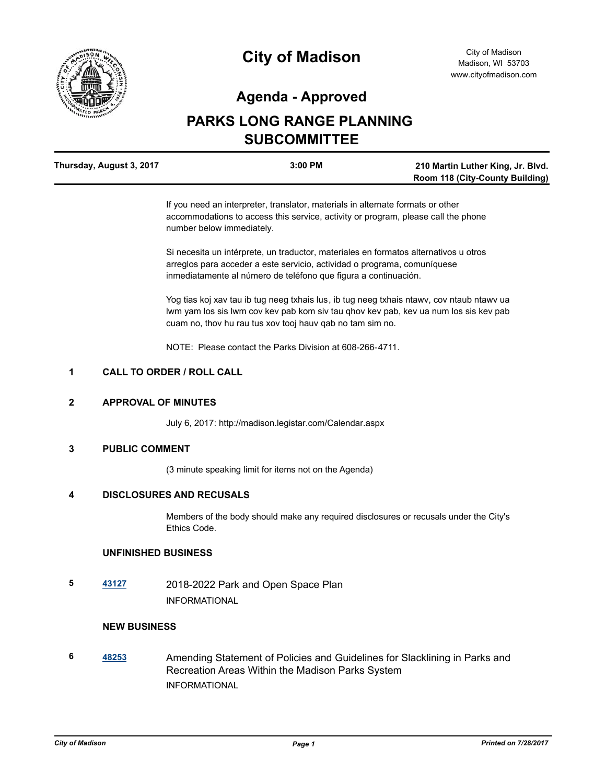

# **City of Madison**

### **Agenda - Approved**

## **PARKS LONG RANGE PLANNING SUBCOMMITTEE**

| Thursday, August 3, 2017 | 3:00 PM | 210 Martin Luther King, Jr. Blvd.      |
|--------------------------|---------|----------------------------------------|
|                          |         | <b>Room 118 (City-County Building)</b> |

If you need an interpreter, translator, materials in alternate formats or other accommodations to access this service, activity or program, please call the phone number below immediately.

Si necesita un intérprete, un traductor, materiales en formatos alternativos u otros arreglos para acceder a este servicio, actividad o programa, comuníquese inmediatamente al número de teléfono que figura a continuación.

Yog tias koj xav tau ib tug neeg txhais lus, ib tug neeg txhais ntawv, cov ntaub ntawv ua lwm yam los sis lwm cov kev pab kom siv tau qhov kev pab, kev ua num los sis kev pab cuam no, thov hu rau tus xov tooj hauv qab no tam sim no.

NOTE: Please contact the Parks Division at 608-266-4711.

#### **1 CALL TO ORDER / ROLL CALL**

#### **2 APPROVAL OF MINUTES**

July 6, 2017: http://madison.legistar.com/Calendar.aspx

#### **3 PUBLIC COMMENT**

(3 minute speaking limit for items not on the Agenda)

#### **4 DISCLOSURES AND RECUSALS**

Members of the body should make any required disclosures or recusals under the City's Ethics Code.

#### **UNFINISHED BUSINESS**

**5 [43127](http://madison.legistar.com/gateway.aspx?m=l&id=/matter.aspx?key=47356)** 2018-2022 Park and Open Space Plan INFORMATIONAL

#### **NEW BUSINESS**

**6 [48253](http://madison.legistar.com/gateway.aspx?m=l&id=/matter.aspx?key=52171)** Amending Statement of Policies and Guidelines for Slacklining in Parks and Recreation Areas Within the Madison Parks System INFORMATIONAL